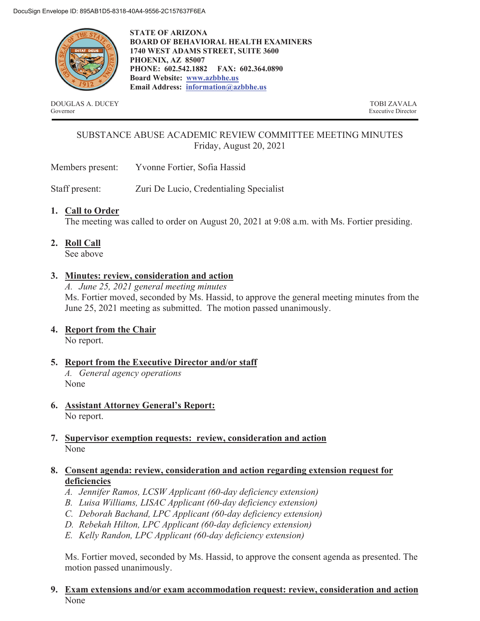

**STATE OF ARIZONA BOARD OF BEHAVIORAL HEALTH EXAMINERS 1740 WEST ADAMS STREET, SUITE 3600 PHOENIX, AZ 85007 PHONE: 602.542.1882 FAX: 602.364.0890 Board Website: www.azbbhe.us Email Address: information@azbbhe.us**

DOUGLAS A. DUCEY TOBI ZAVALA Governor Executive Director

# SUBSTANCE ABUSE ACADEMIC REVIEW COMMITTEE MEETING MINUTES Friday, August 20, 2021

Members present: Yvonne Fortier, Sofia Hassid

Staff present: Zuri De Lucio, Credentialing Specialist

## **1. Call to Order**

The meeting was called to order on August 20, 2021 at 9:08 a.m. with Ms. Fortier presiding.

**2. Roll Call**

See above

## **3. Minutes: review, consideration and action**

*A. June 25, 2021 general meeting minutes*  Ms. Fortier moved, seconded by Ms. Hassid, to approve the general meeting minutes from the June 25, 2021 meeting as submitted. The motion passed unanimously.

**4. Report from the Chair** 

No report.

- **5. Report from the Executive Director and/or staff**  *A. General agency operations*  None
- **6. Assistant Attorney General's Report:**  No report.
- **7. Supervisor exemption requests: review, consideration and action**  None

## **8. Consent agenda: review, consideration and action regarding extension request for deficiencies**

- *A. Jennifer Ramos, LCSW Applicant (60-day deficiency extension)*
- *B. Luisa Williams, LISAC Applicant (60-day deficiency extension)*
- *C. Deborah Bachand, LPC Applicant (60-day deficiency extension)*
- *D. Rebekah Hilton, LPC Applicant (60-day deficiency extension)*
- *E. Kelly Randon, LPC Applicant (60-day deficiency extension)*

Ms. Fortier moved, seconded by Ms. Hassid, to approve the consent agenda as presented. The motion passed unanimously.

**9. Exam extensions and/or exam accommodation request: review, consideration and action**  None